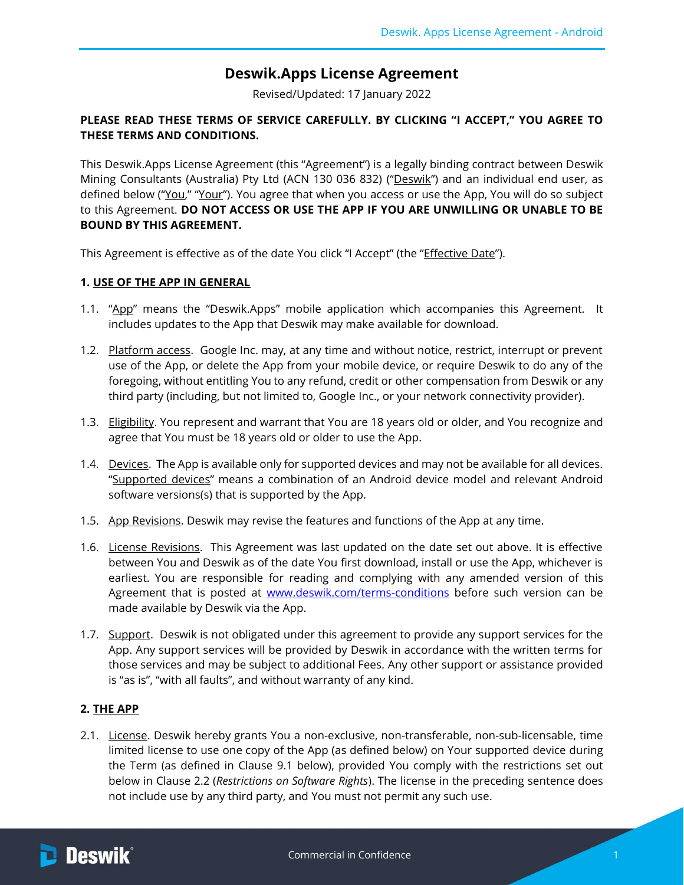# **Deswik.Apps License Agreement**

Revised/Updated: 17 January 2022

# **PLEASE READ THESE TERMS OF SERVICE CAREFULLY. BY CLICKING "I ACCEPT," YOU AGREE TO THESE TERMS AND CONDITIONS.**

This Deswik.Apps License Agreement (this "Agreement") is a legally binding contract between Deswik Mining Consultants (Australia) Pty Ltd (ACN 130 036 832) ("Deswik") and an individual end user, as defined below ("You," "Your"). You agree that when you access or use the App, You will do so subject to this Agreement. **DO NOT ACCESS OR USE THE APP IF YOU ARE UNWILLING OR UNABLE TO BE BOUND BY THIS AGREEMENT.**

This Agreement is effective as of the date You click "I Accept" (the "*Effective Date"*).

## **1. USE OF THE APP IN GENERAL**

- 1.1. "App" means the "Deswik.Apps" mobile application which accompanies this Agreement. It includes updates to the App that Deswik may make available for download.
- 1.2. Platform access. Google Inc. may, at any time and without notice, restrict, interrupt or prevent use of the App, or delete the App from your mobile device, or require Deswik to do any of the foregoing, without entitling You to any refund, credit or other compensation from Deswik or any third party (including, but not limited to, Google Inc., or your network connectivity provider).
- 1.3. Eligibility. You represent and warrant that You are 18 years old or older, and You recognize and agree that You must be 18 years old or older to use the App.
- 1.4. Devices. The App is available only for supported devices and may not be available for all devices. "Supported devices" means a combination of an Android device model and relevant Android software versions(s) that is supported by the App.
- 1.5. App Revisions. Deswik may revise the features and functions of the App at any time.
- 1.6. License Revisions. This Agreement was last updated on the date set out above. It is effective between You and Deswik as of the date You first download, install or use the App, whichever is earliest. You are responsible for reading and complying with any amended version of this Agreement that is posted at [www.deswik.com/terms-conditions](http://www.deswik.com/terms-conditions) before such version can be made available by Deswik via the App.
- <span id="page-0-1"></span>1.7. Support. Deswik is not obligated under this agreement to provide any support services for the App. Any support services will be provided by Deswik in accordance with the written terms for those services and may be subject to additional Fees. Any other support or assistance provided is "as is", "with all faults", and without warranty of any kind.

## **2. THE APP**

<span id="page-0-0"></span>2.1. License. Deswik hereby grants You a non-exclusive, non-transferable, non-sub-licensable, time limited license to use one copy of the App (as defined below) on Your supported device during the Term (as defined in Clause [9.1](#page-3-0) below), provided You comply with the restrictions set out below in Clause [2.2](#page-1-0) (*Restrictions on Software Rights*). The license in the preceding sentence does not include use by any third party, and You must not permit any such use.

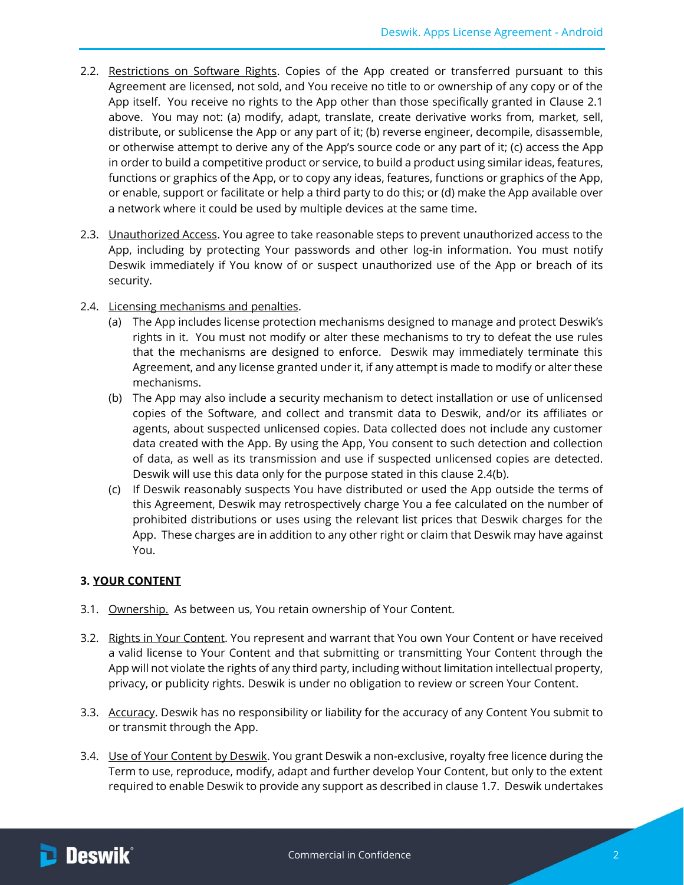- <span id="page-1-0"></span>2.2. Restrictions on Software Rights. Copies of the App created or transferred pursuant to this Agreement are licensed, not sold, and You receive no title to or ownership of any copy or of the App itself. You receive no rights to the App other than those specifically granted in Clause [2.1](#page-0-0) above. You may not: (a) modify, adapt, translate, create derivative works from, market, sell, distribute, or sublicense the App or any part of it; (b) reverse engineer, decompile, disassemble, or otherwise attempt to derive any of the App's source code or any part of it; (c) access the App in order to build a competitive product or service, to build a product using similar ideas, features, functions or graphics of the App, or to copy any ideas, features, functions or graphics of the App, or enable, support or facilitate or help a third party to do this; or (d) make the App available over a network where it could be used by multiple devices at the same time.
- 2.3. Unauthorized Access. You agree to take reasonable steps to prevent unauthorized access to the App, including by protecting Your passwords and other log-in information. You must notify Deswik immediately if You know of or suspect unauthorized use of the App or breach of its security.
- <span id="page-1-1"></span>2.4. Licensing mechanisms and penalties.
	- (a) The App includes license protection mechanisms designed to manage and protect Deswik's rights in it. You must not modify or alter these mechanisms to try to defeat the use rules that the mechanisms are designed to enforce. Deswik may immediately terminate this Agreement, and any license granted under it, if any attempt is made to modify or alter these mechanisms.
	- (b) The App may also include a security mechanism to detect installation or use of unlicensed copies of the Software, and collect and transmit data to Deswik, and/or its affiliates or agents, about suspected unlicensed copies. Data collected does not include any customer data created with the App. By using the App, You consent to such detection and collection of data, as well as its transmission and use if suspected unlicensed copies are detected. Deswik will use this data only for the purpose stated in this clause [2.4\(b\).](#page-1-1)
	- (c) If Deswik reasonably suspects You have distributed or used the App outside the terms of this Agreement, Deswik may retrospectively charge You a fee calculated on the number of prohibited distributions or uses using the relevant list prices that Deswik charges for the App. These charges are in addition to any other right or claim that Deswik may have against You.

#### **3. YOUR CONTENT**

- 3.1. Ownership. As between us, You retain ownership of Your Content.
- 3.2. Rights in Your Content. You represent and warrant that You own Your Content or have received a valid license to Your Content and that submitting or transmitting Your Content through the App will not violate the rights of any third party, including without limitation intellectual property, privacy, or publicity rights. Deswik is under no obligation to review or screen Your Content.
- 3.3. Accuracy. Deswik has no responsibility or liability for the accuracy of any Content You submit to or transmit through the App.
- 3.4. Use of Your Content by Deswik. You grant Deswik a non-exclusive, royalty free licence during the Term to use, reproduce, modify, adapt and further develop Your Content, but only to the extent required to enable Deswik to provide any support as described in claus[e 1.7.](#page-0-1) Deswik undertakes

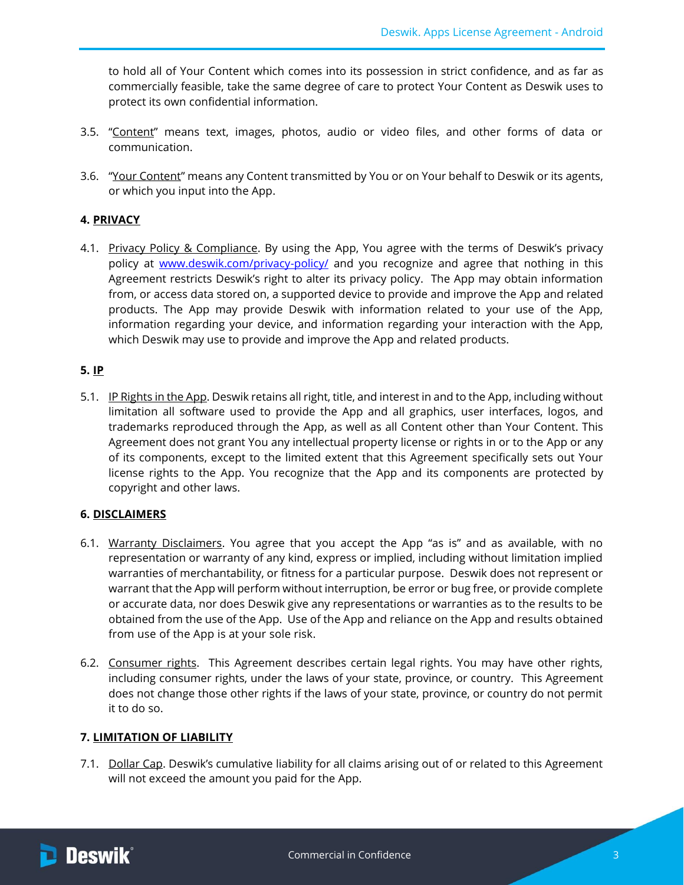to hold all of Your Content which comes into its possession in strict confidence, and as far as commercially feasible, take the same degree of care to protect Your Content as Deswik uses to protect its own confidential information.

- 3.5. "Content" means text, images, photos, audio or video files, and other forms of data or communication.
- 3.6. "Your Content" means any Content transmitted by You or on Your behalf to Deswik or its agents, or which you input into the App.

## **4. PRIVACY**

4.1. Privacy Policy & Compliance. By using the App, You agree with the terms of Deswik's privacy policy at [www.deswik.com/privacy-policy/](http://www.deswik.com/privacy-policy/) and you recognize and agree that nothing in this Agreement restricts Deswik's right to alter its privacy policy. The App may obtain information from, or access data stored on, a supported device to provide and improve the App and related products. The App may provide Deswik with information related to your use of the App, information regarding your device, and information regarding your interaction with the App, which Deswik may use to provide and improve the App and related products.

## <span id="page-2-1"></span>**5. IP**

5.1. IP Rights in the App. Deswik retains all right, title, and interest in and to the App, including without limitation all software used to provide the App and all graphics, user interfaces, logos, and trademarks reproduced through the App, as well as all Content other than Your Content. This Agreement does not grant You any intellectual property license or rights in or to the App or any of its components, except to the limited extent that this Agreement specifically sets out Your license rights to the App. You recognize that the App and its components are protected by copyright and other laws.

## <span id="page-2-2"></span>**6. DISCLAIMERS**

- 6.1. Warranty Disclaimers. You agree that you accept the App "as is" and as available, with no representation or warranty of any kind, express or implied, including without limitation implied warranties of merchantability, or fitness for a particular purpose. Deswik does not represent or warrant that the App will perform without interruption, be error or bug free, or provide complete or accurate data, nor does Deswik give any representations or warranties as to the results to be obtained from the use of the App. Use of the App and reliance on the App and results obtained from use of the App is at your sole risk.
- 6.2. Consumer rights. This Agreement describes certain legal rights. You may have other rights, including consumer rights, under the laws of your state, province, or country. This Agreement does not change those other rights if the laws of your state, province, or country do not permit it to do so.

## <span id="page-2-0"></span>**7. LIMITATION OF LIABILITY**

7.1. Dollar Cap. Deswik's cumulative liability for all claims arising out of or related to this Agreement will not exceed the amount you paid for the App.

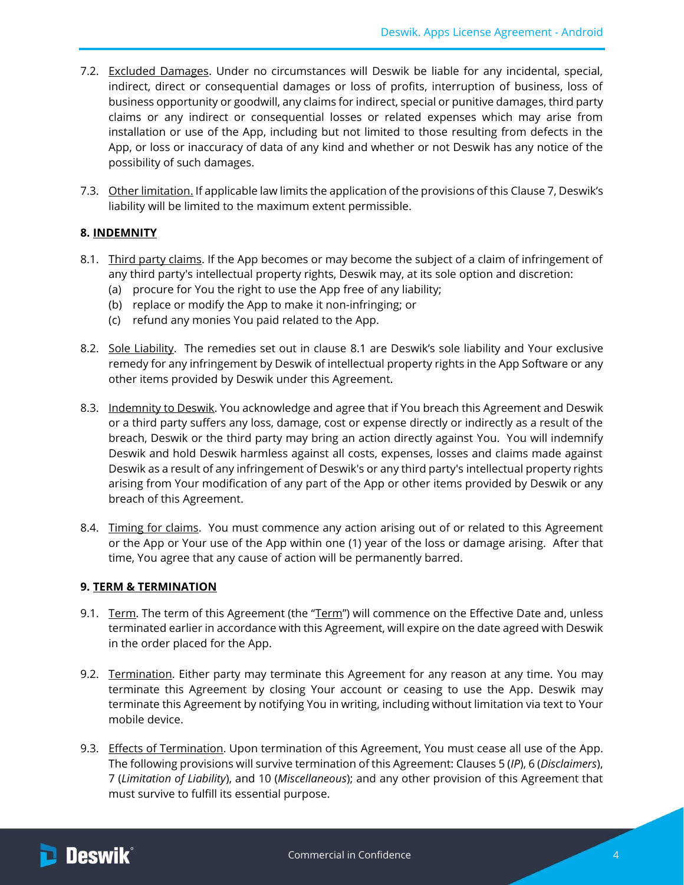- 7.2. Excluded Damages. Under no circumstances will Deswik be liable for any incidental, special, indirect, direct or consequential damages or loss of profits, interruption of business, loss of business opportunity or goodwill, any claims for indirect, special or punitive damages, third party claims or any indirect or consequential losses or related expenses which may arise from installation or use of the App, including but not limited to those resulting from defects in the App, or loss or inaccuracy of data of any kind and whether or not Deswik has any notice of the possibility of such damages.
- 7.3. Other limitation. If applicable law limits the application of the provisions of this Clause [7,](#page-2-0) Deswik's liability will be limited to the maximum extent permissible.

## **8. INDEMNITY**

- <span id="page-3-1"></span>8.1. Third party claims. If the App becomes or may become the subject of a claim of infringement of any third party's intellectual property rights, Deswik may, at its sole option and discretion:
	- (a) procure for You the right to use the App free of any liability;
	- (b) replace or modify the App to make it non-infringing; or
	- (c) refund any monies You paid related to the App.
- 8.2. Sole Liability. The remedies set out in clause [8.1](#page-3-1) are Deswik's sole liability and Your exclusive remedy for any infringement by Deswik of intellectual property rights in the App Software or any other items provided by Deswik under this Agreement.
- 8.3. Indemnity to Deswik. You acknowledge and agree that if You breach this Agreement and Deswik or a third party suffers any loss, damage, cost or expense directly or indirectly as a result of the breach, Deswik or the third party may bring an action directly against You. You will indemnify Deswik and hold Deswik harmless against all costs, expenses, losses and claims made against Deswik as a result of any infringement of Deswik's or any third party's intellectual property rights arising from Your modification of any part of the App or other items provided by Deswik or any breach of this Agreement.
- 8.4. Timing for claims. You must commence any action arising out of or related to this Agreement or the App or Your use of the App within one (1) year of the loss or damage arising. After that time, You agree that any cause of action will be permanently barred.

## **9. TERM & TERMINATION**

- <span id="page-3-0"></span>9.1. Term. The term of this Agreement (the "Term") will commence on the Effective Date and, unless terminated earlier in accordance with this Agreement, will expire on the date agreed with Deswik in the order placed for the App.
- 9.2. Termination. Either party may terminate this Agreement for any reason at any time. You may terminate this Agreement by closing Your account or ceasing to use the App. Deswik may terminate this Agreement by notifying You in writing, including without limitation via text to Your mobile device.
- 9.3. Effects of Termination. Upon termination of this Agreement, You must cease all use of the App. The following provisions will survive termination of this Agreement: Clauses [5](#page-2-1) (*IP*)[, 6](#page-2-2) (*Disclaimers*), [7](#page-2-0) (*Limitation of Liability*), and [10](#page-4-0) (*Miscellaneous*); and any other provision of this Agreement that must survive to fulfill its essential purpose.